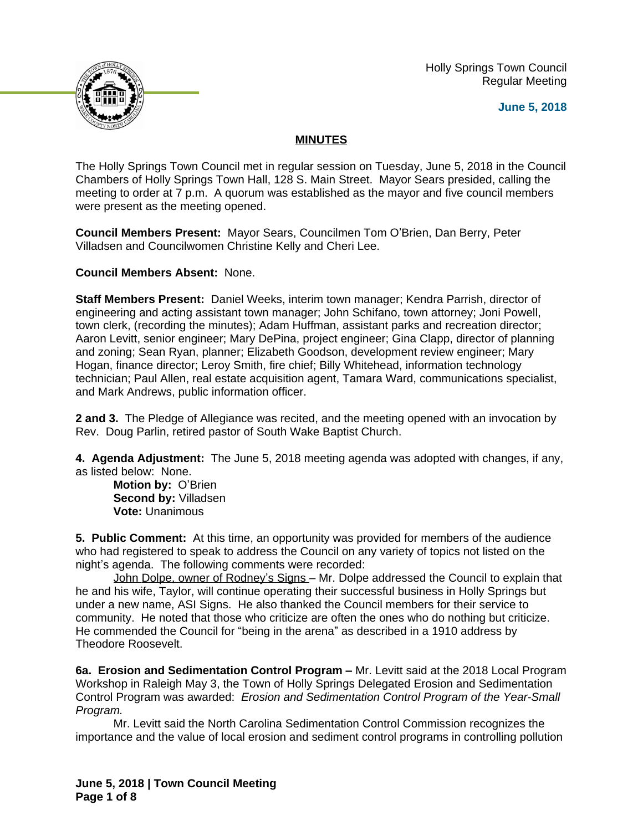Holly Springs Town Council Regular Meeting





## **MINUTES**

The Holly Springs Town Council met in regular session on Tuesday, June 5, 2018 in the Council Chambers of Holly Springs Town Hall, 128 S. Main Street. Mayor Sears presided, calling the meeting to order at 7 p.m. A quorum was established as the mayor and five council members were present as the meeting opened.

**Council Members Present:** Mayor Sears, Councilmen Tom O'Brien, Dan Berry, Peter Villadsen and Councilwomen Christine Kelly and Cheri Lee.

**Council Members Absent:** None.

**Staff Members Present:** Daniel Weeks, interim town manager; Kendra Parrish, director of engineering and acting assistant town manager; John Schifano, town attorney; Joni Powell, town clerk, (recording the minutes); Adam Huffman, assistant parks and recreation director; Aaron Levitt, senior engineer; Mary DePina, project engineer; Gina Clapp, director of planning and zoning; Sean Ryan, planner; Elizabeth Goodson, development review engineer; Mary Hogan, finance director; Leroy Smith, fire chief; Billy Whitehead, information technology technician; Paul Allen, real estate acquisition agent, Tamara Ward, communications specialist, and Mark Andrews, public information officer.

**2 and 3.** The Pledge of Allegiance was recited, and the meeting opened with an invocation by Rev. Doug Parlin, retired pastor of South Wake Baptist Church.

**4. Agenda Adjustment:** The June 5, 2018 meeting agenda was adopted with changes, if any, as listed below: None.

**Motion by:** O'Brien **Second by:** Villadsen **Vote:** Unanimous

**5. Public Comment:** At this time, an opportunity was provided for members of the audience who had registered to speak to address the Council on any variety of topics not listed on the night's agenda. The following comments were recorded:

John Dolpe, owner of Rodney's Signs – Mr. Dolpe addressed the Council to explain that he and his wife, Taylor, will continue operating their successful business in Holly Springs but under a new name, ASI Signs. He also thanked the Council members for their service to community. He noted that those who criticize are often the ones who do nothing but criticize. He commended the Council for "being in the arena" as described in a 1910 address by Theodore Roosevelt.

**6a. Erosion and Sedimentation Control Program – Mr. Levitt said at the 2018 Local Program** Workshop in Raleigh May 3, the Town of Holly Springs Delegated Erosion and Sedimentation Control Program was awarded: *Erosion and Sedimentation Control Program of the Year-Small Program.*

Mr. Levitt said the North Carolina Sedimentation Control Commission recognizes the importance and the value of local erosion and sediment control programs in controlling pollution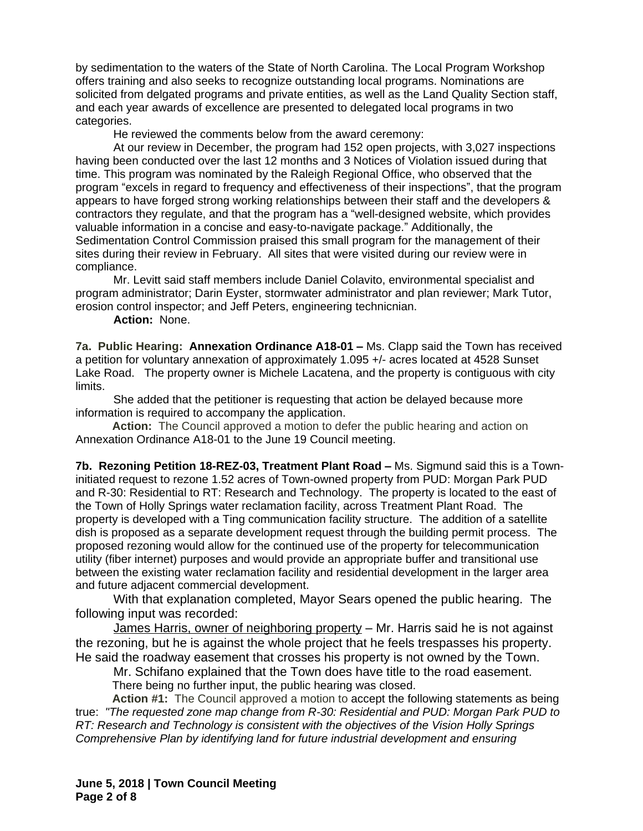by sedimentation to the waters of the State of North Carolina. The Local Program Workshop offers training and also seeks to recognize outstanding local programs. Nominations are solicited from delgated programs and private entities, as well as the Land Quality Section staff, and each year awards of excellence are presented to delegated local programs in two categories.

He reviewed the comments below from the award ceremony:

At our review in December, the program had 152 open projects, with 3,027 inspections having been conducted over the last 12 months and 3 Notices of Violation issued during that time. This program was nominated by the Raleigh Regional Office, who observed that the program "excels in regard to frequency and effectiveness of their inspections", that the program appears to have forged strong working relationships between their staff and the developers & contractors they regulate, and that the program has a "well-designed website, which provides valuable information in a concise and easy-to-navigate package." Additionally, the Sedimentation Control Commission praised this small program for the management of their sites during their review in February. All sites that were visited during our review were in compliance.

Mr. Levitt said staff members include Daniel Colavito, environmental specialist and program administrator; Darin Eyster, stormwater administrator and plan reviewer; Mark Tutor, erosion control inspector; and Jeff Peters, engineering technicnian.

**Action:** None.

**7a. Public Hearing: Annexation Ordinance A18-01 – Ms. Clapp said the Town has received** a petition for voluntary annexation of approximately 1.095 +/- acres located at 4528 Sunset Lake Road. The property owner is Michele Lacatena, and the property is contiguous with city limits.

She added that the petitioner is requesting that action be delayed because more information is required to accompany the application.

**Action:** The Council approved a motion to defer the public hearing and action on Annexation Ordinance A18-01 to the June 19 Council meeting.

**7b. Rezoning Petition 18-REZ-03, Treatment Plant Road –** Ms. Sigmund said this is a Towninitiated request to rezone 1.52 acres of Town-owned property from PUD: Morgan Park PUD and R-30: Residential to RT: Research and Technology. The property is located to the east of the Town of Holly Springs water reclamation facility, across Treatment Plant Road. The property is developed with a Ting communication facility structure. The addition of a satellite dish is proposed as a separate development request through the building permit process. The proposed rezoning would allow for the continued use of the property for telecommunication utility (fiber internet) purposes and would provide an appropriate buffer and transitional use between the existing water reclamation facility and residential development in the larger area and future adjacent commercial development.

With that explanation completed, Mayor Sears opened the public hearing. The following input was recorded:

James Harris, owner of neighboring property – Mr. Harris said he is not against the rezoning, but he is against the whole project that he feels trespasses his property. He said the roadway easement that crosses his property is not owned by the Town.

Mr. Schifano explained that the Town does have title to the road easement. There being no further input, the public hearing was closed.

**Action #1:** The Council approved a motion to accept the following statements as being true: *"The requested zone map change from R-30: Residential and PUD: Morgan Park PUD to RT: Research and Technology is consistent with the objectives of the Vision Holly Springs Comprehensive Plan by identifying land for future industrial development and ensuring*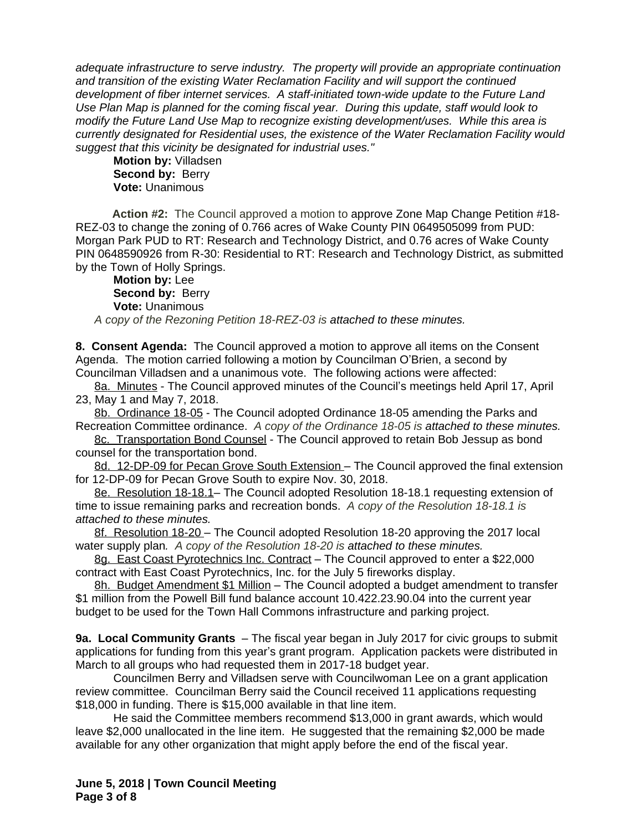*adequate infrastructure to serve industry. The property will provide an appropriate continuation and transition of the existing Water Reclamation Facility and will support the continued development of fiber internet services. A staff-initiated town-wide update to the Future Land Use Plan Map is planned for the coming fiscal year. During this update, staff would look to modify the Future Land Use Map to recognize existing development/uses. While this area is currently designated for Residential uses, the existence of the Water Reclamation Facility would suggest that this vicinity be designated for industrial uses."*

**Motion by:** Villadsen **Second by: Berry Vote:** Unanimous

**Action #2:** The Council approved a motion to approve Zone Map Change Petition #18- REZ-03 to change the zoning of 0.766 acres of Wake County PIN 0649505099 from PUD: Morgan Park PUD to RT: Research and Technology District, and 0.76 acres of Wake County PIN 0648590926 from R-30: Residential to RT: Research and Technology District, as submitted by the Town of Holly Springs.

**Motion by:** Lee **Second by: Berry Vote:** Unanimous

*A copy of the Rezoning Petition 18-REZ-03 is attached to these minutes.*

**8. Consent Agenda:** The Council approved a motion to approve all items on the Consent Agenda. The motion carried following a motion by Councilman O'Brien, a second by Councilman Villadsen and a unanimous vote. The following actions were affected:

8a. Minutes - The Council approved minutes of the Council's meetings held April 17, April 23, May 1 and May 7, 2018.

8b. Ordinance 18-05 - The Council adopted Ordinance 18-05 amending the Parks and Recreation Committee ordinance.*A copy of the Ordinance 18-05 is attached to these minutes.*

8c. Transportation Bond Counsel - The Council approved to retain Bob Jessup as bond counsel for the transportation bond.

8d. 12-DP-09 for Pecan Grove South Extension – The Council approved the final extension for 12-DP-09 for Pecan Grove South to expire Nov. 30, 2018.

8e. Resolution 18-18.1– The Council adopted Resolution 18-18.1 requesting extension of time to issue remaining parks and recreation bonds. *A copy of the Resolution 18-18.1 is attached to these minutes.*

8f. Resolution 18-20 – The Council adopted Resolution 18-20 approving the 2017 local water supply plan*. A copy of the Resolution 18-20 is attached to these minutes.*

8g. East Coast Pyrotechnics Inc. Contract - The Council approved to enter a \$22,000 contract with East Coast Pyrotechnics, Inc. for the July 5 fireworks display.

8h. Budget Amendment \$1 Million – The Council adopted a budget amendment to transfer \$1 million from the Powell Bill fund balance account 10.422.23.90.04 into the current year budget to be used for the Town Hall Commons infrastructure and parking project.

**9a. Local Community Grants** – The fiscal year began in July 2017 for civic groups to submit applications for funding from this year's grant program. Application packets were distributed in March to all groups who had requested them in 2017-18 budget year.

Councilmen Berry and Villadsen serve with Councilwoman Lee on a grant application review committee. Councilman Berry said the Council received 11 applications requesting \$18,000 in funding. There is \$15,000 available in that line item.

He said the Committee members recommend \$13,000 in grant awards, which would leave \$2,000 unallocated in the line item. He suggested that the remaining \$2,000 be made available for any other organization that might apply before the end of the fiscal year.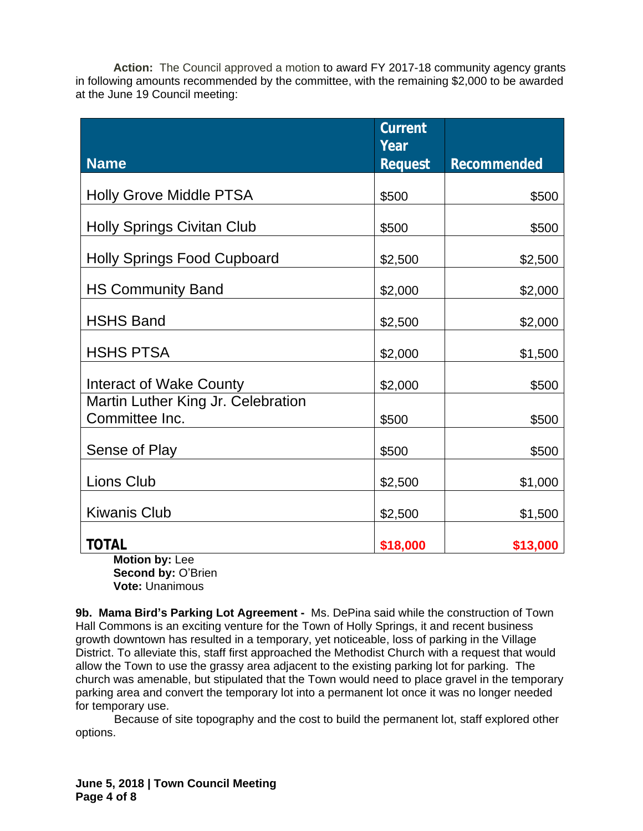**Action:** The Council approved a motion to award FY 2017-18 community agency grants in following amounts recommended by the committee, with the remaining \$2,000 to be awarded at the June 19 Council meeting:

|                                                      | <b>Current</b><br>Year |                    |
|------------------------------------------------------|------------------------|--------------------|
| <b>Name</b>                                          | <b>Request</b>         | <b>Recommended</b> |
| <b>Holly Grove Middle PTSA</b>                       | \$500                  | \$500              |
| <b>Holly Springs Civitan Club</b>                    | \$500                  | \$500              |
| <b>Holly Springs Food Cupboard</b>                   | \$2,500                | \$2,500            |
| <b>HS Community Band</b>                             | \$2,000                | \$2,000            |
| <b>HSHS Band</b>                                     | \$2,500                | \$2,000            |
| <b>HSHS PTSA</b>                                     | \$2,000                | \$1,500            |
| Interact of Wake County                              | \$2,000                | \$500              |
| Martin Luther King Jr. Celebration<br>Committee Inc. | \$500                  | \$500              |
| Sense of Play                                        | \$500                  | \$500              |
| <b>Lions Club</b>                                    | \$2,500                | \$1,000            |
| <b>Kiwanis Club</b>                                  | \$2,500                | \$1,500            |
| <b>TOTAL</b><br>$M$ atian has Laa                    | \$18,000               | \$13,000           |

**Motion by:** Lee Second by: O'Brien **Vote:** Unanimous

**9b. Mama Bird's Parking Lot Agreement -** Ms. DePina said while the construction of Town Hall Commons is an exciting venture for the Town of Holly Springs, it and recent business growth downtown has resulted in a temporary, yet noticeable, loss of parking in the Village District. To alleviate this, staff first approached the Methodist Church with a request that would allow the Town to use the grassy area adjacent to the existing parking lot for parking. The church was amenable, but stipulated that the Town would need to place gravel in the temporary parking area and convert the temporary lot into a permanent lot once it was no longer needed for temporary use.

 Because of site topography and the cost to build the permanent lot, staff explored other options.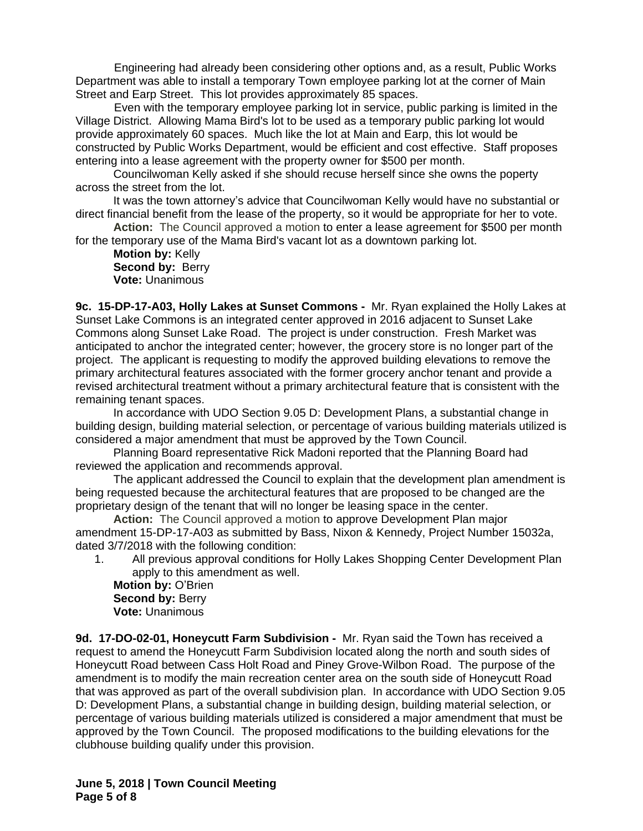Engineering had already been considering other options and, as a result, Public Works Department was able to install a temporary Town employee parking lot at the corner of Main Street and Earp Street. This lot provides approximately 85 spaces.

 Even with the temporary employee parking lot in service, public parking is limited in the Village District. Allowing Mama Bird's lot to be used as a temporary public parking lot would provide approximately 60 spaces. Much like the lot at Main and Earp, this lot would be constructed by Public Works Department, would be efficient and cost effective. Staff proposes entering into a lease agreement with the property owner for \$500 per month.

Councilwoman Kelly asked if she should recuse herself since she owns the poperty across the street from the lot.

It was the town attorney's advice that Councilwoman Kelly would have no substantial or direct financial benefit from the lease of the property, so it would be appropriate for her to vote.

**Action:** The Council approved a motion to enter a lease agreement for \$500 per month for the temporary use of the Mama Bird's vacant lot as a downtown parking lot.

**Motion by:** Kelly **Second by: Berry Vote:** Unanimous

**9c. 15-DP-17-A03, Holly Lakes at Sunset Commons -** Mr. Ryan explained the Holly Lakes at Sunset Lake Commons is an integrated center approved in 2016 adjacent to Sunset Lake Commons along Sunset Lake Road. The project is under construction. Fresh Market was anticipated to anchor the integrated center; however, the grocery store is no longer part of the project. The applicant is requesting to modify the approved building elevations to remove the primary architectural features associated with the former grocery anchor tenant and provide a revised architectural treatment without a primary architectural feature that is consistent with the remaining tenant spaces.

In accordance with UDO Section 9.05 D: Development Plans, a substantial change in building design, building material selection, or percentage of various building materials utilized is considered a major amendment that must be approved by the Town Council.

Planning Board representative Rick Madoni reported that the Planning Board had reviewed the application and recommends approval.

The applicant addressed the Council to explain that the development plan amendment is being requested because the architectural features that are proposed to be changed are the proprietary design of the tenant that will no longer be leasing space in the center.

**Action:** The Council approved a motion to approve Development Plan major amendment 15-DP-17-A03 as submitted by Bass, Nixon & Kennedy, Project Number 15032a, dated 3/7/2018 with the following condition:

1. All previous approval conditions for Holly Lakes Shopping Center Development Plan apply to this amendment as well.

**Motion by:** O'Brien **Second by: Berry Vote:** Unanimous

**9d. 17-DO-02-01, Honeycutt Farm Subdivision -** Mr. Ryan said the Town has received a request to amend the Honeycutt Farm Subdivision located along the north and south sides of Honeycutt Road between Cass Holt Road and Piney Grove-Wilbon Road. The purpose of the amendment is to modify the main recreation center area on the south side of Honeycutt Road that was approved as part of the overall subdivision plan. In accordance with UDO Section 9.05 D: Development Plans, a substantial change in building design, building material selection, or percentage of various building materials utilized is considered a major amendment that must be approved by the Town Council. The proposed modifications to the building elevations for the clubhouse building qualify under this provision.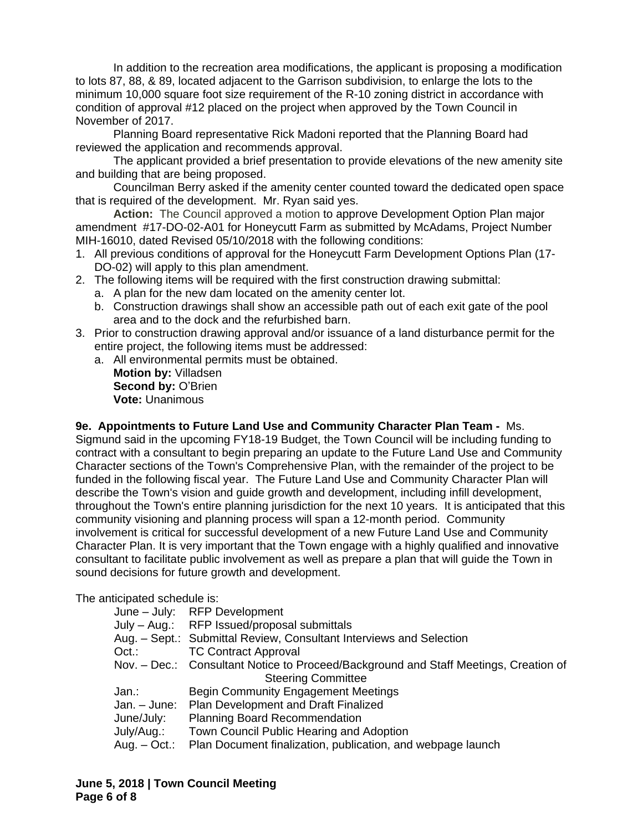In addition to the recreation area modifications, the applicant is proposing a modification to lots 87, 88, & 89, located adjacent to the Garrison subdivision, to enlarge the lots to the minimum 10,000 square foot size requirement of the R-10 zoning district in accordance with condition of approval #12 placed on the project when approved by the Town Council in November of 2017.

Planning Board representative Rick Madoni reported that the Planning Board had reviewed the application and recommends approval.

The applicant provided a brief presentation to provide elevations of the new amenity site and building that are being proposed.

Councilman Berry asked if the amenity center counted toward the dedicated open space that is required of the development. Mr. Ryan said yes.

**Action:** The Council approved a motion to approve Development Option Plan major amendment #17-DO-02-A01 for Honeycutt Farm as submitted by McAdams, Project Number MIH-16010, dated Revised 05/10/2018 with the following conditions:

- 1. All previous conditions of approval for the Honeycutt Farm Development Options Plan (17- DO-02) will apply to this plan amendment.
- 2. The following items will be required with the first construction drawing submittal:
	- a. A plan for the new dam located on the amenity center lot.
	- b. Construction drawings shall show an accessible path out of each exit gate of the pool area and to the dock and the refurbished barn.
- 3. Prior to construction drawing approval and/or issuance of a land disturbance permit for the entire project, the following items must be addressed:
	- a. All environmental permits must be obtained.

**Motion by:** Villadsen **Second by: O'Brien Vote:** Unanimous

**9e. Appointments to Future Land Use and Community Character Plan Team -** Ms.

Sigmund said in the upcoming FY18-19 Budget, the Town Council will be including funding to contract with a consultant to begin preparing an update to the Future Land Use and Community Character sections of the Town's Comprehensive Plan, with the remainder of the project to be funded in the following fiscal year. The Future Land Use and Community Character Plan will describe the Town's vision and guide growth and development, including infill development, throughout the Town's entire planning jurisdiction for the next 10 years. It is anticipated that this community visioning and planning process will span a 12-month period. Community involvement is critical for successful development of a new Future Land Use and Community Character Plan. It is very important that the Town engage with a highly qualified and innovative consultant to facilitate public involvement as well as prepare a plan that will guide the Town in sound decisions for future growth and development.

The anticipated schedule is:

|               | June - July: RFP Development                                                         |
|---------------|--------------------------------------------------------------------------------------|
|               | July - Aug.: RFP Issued/proposal submittals                                          |
|               | Aug. - Sept.: Submittal Review, Consultant Interviews and Selection                  |
| Oct.          | <b>TC Contract Approval</b>                                                          |
|               | Nov. - Dec.: Consultant Notice to Proceed/Background and Staff Meetings, Creation of |
|               | <b>Steering Committee</b>                                                            |
| Jan∴          | <b>Begin Community Engagement Meetings</b>                                           |
| Jan. - June:  | Plan Development and Draft Finalized                                                 |
| June/July:    | <b>Planning Board Recommendation</b>                                                 |
| July/Aug.:    | Town Council Public Hearing and Adoption                                             |
| $Aug. - Oct.$ | Plan Document finalization, publication, and webpage launch                          |
|               |                                                                                      |

**June 5, 2018 | Town Council Meeting Page 6 of 8**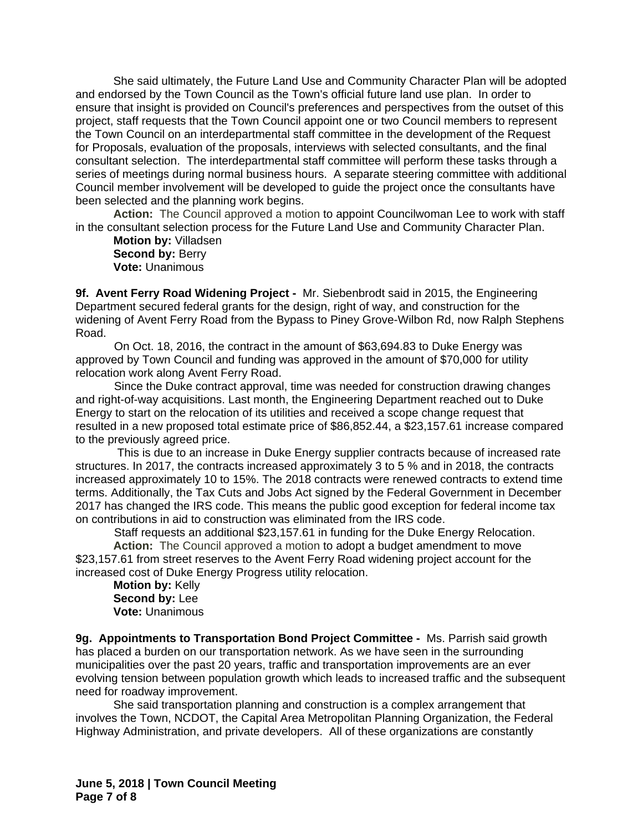She said ultimately, the Future Land Use and Community Character Plan will be adopted and endorsed by the Town Council as the Town's official future land use plan. In order to ensure that insight is provided on Council's preferences and perspectives from the outset of this project, staff requests that the Town Council appoint one or two Council members to represent the Town Council on an interdepartmental staff committee in the development of the Request for Proposals, evaluation of the proposals, interviews with selected consultants, and the final consultant selection. The interdepartmental staff committee will perform these tasks through a series of meetings during normal business hours. A separate steering committee with additional Council member involvement will be developed to guide the project once the consultants have been selected and the planning work begins.

**Action:** The Council approved a motion to appoint Councilwoman Lee to work with staff in the consultant selection process for the Future Land Use and Community Character Plan.

**Motion by:** Villadsen **Second by: Berry Vote:** Unanimous

**9f. Avent Ferry Road Widening Project -** Mr. Siebenbrodt said in 2015, the Engineering Department secured federal grants for the design, right of way, and construction for the widening of Avent Ferry Road from the Bypass to Piney Grove-Wilbon Rd, now Ralph Stephens Road.

 On Oct. 18, 2016, the contract in the amount of \$63,694.83 to Duke Energy was approved by Town Council and funding was approved in the amount of \$70,000 for utility relocation work along Avent Ferry Road.

 Since the Duke contract approval, time was needed for construction drawing changes and right-of-way acquisitions. Last month, the Engineering Department reached out to Duke Energy to start on the relocation of its utilities and received a scope change request that resulted in a new proposed total estimate price of \$86,852.44, a \$23,157.61 increase compared to the previously agreed price.

 This is due to an increase in Duke Energy supplier contracts because of increased rate structures. In 2017, the contracts increased approximately 3 to 5 % and in 2018, the contracts increased approximately 10 to 15%. The 2018 contracts were renewed contracts to extend time terms. Additionally, the Tax Cuts and Jobs Act signed by the Federal Government in December 2017 has changed the IRS code. This means the public good exception for federal income tax on contributions in aid to construction was eliminated from the IRS code.

 Staff requests an additional \$23,157.61 in funding for the Duke Energy Relocation. **Action:** The Council approved a motion to adopt a budget amendment to move \$23,157.61 from street reserves to the Avent Ferry Road widening project account for the increased cost of Duke Energy Progress utility relocation.

**Motion by:** Kelly **Second by:** Lee **Vote:** Unanimous

**9g. Appointments to Transportation Bond Project Committee -** Ms. Parrish said growth has placed a burden on our transportation network. As we have seen in the surrounding municipalities over the past 20 years, traffic and transportation improvements are an ever evolving tension between population growth which leads to increased traffic and the subsequent need for roadway improvement.

She said transportation planning and construction is a complex arrangement that involves the Town, NCDOT, the Capital Area Metropolitan Planning Organization, the Federal Highway Administration, and private developers. All of these organizations are constantly